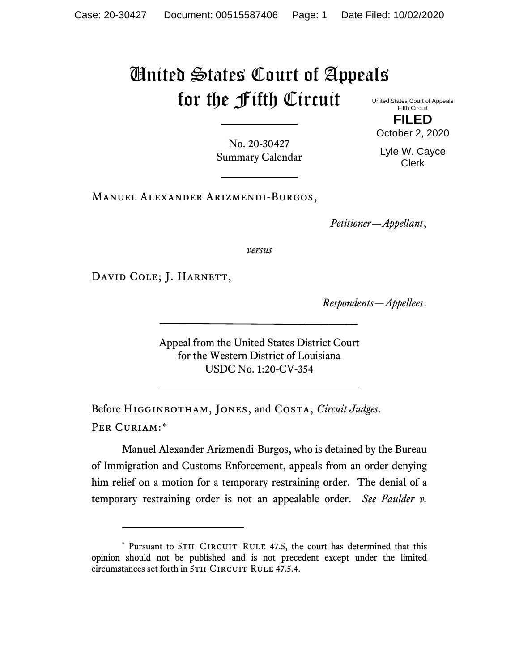## United States Court of Appeals for the Fifth Circuit

United States Court of Appeals Fifth Circuit **FILED**

No. 20-30427 Summary Calendar October 2, 2020 Lyle W. Cayce

Clerk

Manuel Alexander Arizmendi-Burgos,

*Petitioner—Appellant*,

*versus*

DAVID COLE; J. HARNETT,

*Respondents—Appellees*.

Appeal from the United States District Court for the Western District of Louisiana USDC No. 1:20-CV-354

Before Higginbotham, Jones, and Costa, *Circuit Judges*. Per Curiam:[\\*](#page-0-0)

Manuel Alexander Arizmendi-Burgos, who is detained by the Bureau of Immigration and Customs Enforcement, appeals from an order denying him relief on a motion for a temporary restraining order. The denial of a temporary restraining order is not an appealable order. *See Faulder v.* 

<span id="page-0-0"></span><sup>\*</sup> Pursuant to 5TH CIRCUIT RULE 47.5, the court has determined that this opinion should not be published and is not precedent except under the limited circumstances set forth in 5TH CIRCUIT RULE 47.5.4.